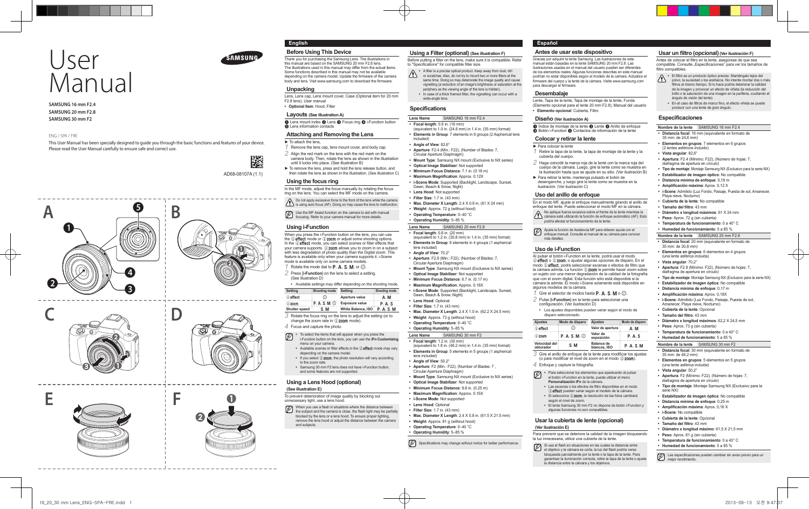

# User Manual

 **SAMSUNG 16 mm F2.4 SAMSUNG 20 mm F2.8 SAMSUNG 30 mm F2**

#### ENG / SPA / FRE

 This User Manual has been specially designed to guide you through the basic functions and features of your device. Please read the User Manual carefully to ensure safe and correct use.

AD68-08107A (1.1)

縢





# **English**

 **Before Using This Device** 

 Thank you for purchasing the Samsung Lens. The illustrations in this manual are based on the SAMSUNG 20 mm F2.8 lens. The illustrations used in this manual may differ from the actual items. Some functions described in this manual may not be available<br>depending on the camera model. Update the firmware of the camera body and lens. Visit www.samsung.com to download the firmware.

#### **Unpacking**

 Lens, Lens cap, Lens mount cover, Case (Optional item for 20 mm F2.8 lens), User manual **• Optional Item**: Hood, Filter

# **Layouts (See illustration A)**

**1** Lens mount index **2** Lens **3** Focus ring **4** i-Function button  $\tilde{\mathbf{B}}$  Lens information contacts

### **Attaching and Removing the Lens**

- ► To attach the lens, *1* Remove the lens cap, lens mount cover, and body cap. *2* Align the red mark on the lens with the red mark on the
- camera body. Then, rotate the lens as shown in the illustration until it locks into place. (See illustration B)
- ► To remove the lens, press and hold the lens release button, and
- then rotate the lens as shown in the illustration. (See illustration C)

# **Using the focus ring**

 In the MF mode, adjust the focus manually by rotating the focus ring on the lens. You can select the MF mode on the camera.

# Do not apply excessive force to the front of the lens while the camera is using auto focus (AF). Doing so may cause the lens to malfunction.

Use the MF Assist function on the camera to aid with manual<br>focusion Refer to your contract with the state of the state of the state of the state of the state of the state of the state of the state of the state of the stat focusing. Refer to your camera manual for more details.

### **Using i-Function**

 When you press the i-Function button on the lens, you can use the  $\overline{a}$  effect mode or  $\overline{a}$  zoom or adjust some shooting options. In the  $\odot$  effect mode, you can select scenes or filter effects that where we can consider the contract of the contract where the contract where your camera supports. (i) **zoom** allows you to zoom in on a subject with less degradation of photo quality than the Digital zoom. This feature is available only when your camera supports it. i-Scene mode is available only on some camera models.

 $1$  Rotate the mode dial to **P**, **A**, **S**, **M**, or  $\widehat{a}$ . *2* Press [**i-Function**] on the lens to select a setting.

(See illustration D)

**•** Available settings may differ depending on the shooting mode. **Setting Shooting mode Setting Shooting mode**

(i) effect  $\overline{()}$  **Aperture value A**, **M** 

 $\overline{0}$  zoom P, A, S, M,  $\overline{0}$  Exposure value P, A, S

Shutter speed S, M White Balance, ISO P, A, S, M *3* Rotate the focus ring on the lens to adjust the setting (or to

change the zoom rate in  $(i)$  zoom mode).

#### *4* Focus and capture the photo.

**•** To select the items that will appear when you press the Ø i-Function button on the lens, you can use the **iFn Customizing**

- menu on your camera. • Available scenes or filter effects in the **(i)** effect mode may vary depending on the camera model.
- If you select (i) **zoom**, the photo resolution will vary according to the zoom rate.
- Samsung 30 mm F2 lens does not have i-Function button, and some features are not supported.

### **Using a Lens Hood (optional)**

**(See illustration E)** To prevent deterioration of image quality by blocking out unnecessary light, use a lens hood.

When you use a flash in situations where the distance between Ø the subject and the camera is close, the flash light may be partially

- blocked by the lens or a lens hood. To ensure proper lighting, remove the lens hood or adjust the distance between the camera and subjects.
	- **Weight**: Approx. 81 g (without hood) **• Operating Temperature**: 0–40 °C

16\_20\_30 mm Lens\_ENG-SPA-FRE.indd 1 2013-09-13 오전 9:47:37

**• Operating Humidity**: 5–85 %

Circular Aperture Diaphragm)

**• Optical Image Stabilizer**: Not supported **• Minimum Focus Distance**: 9.8 in. (0.25 m) • **Maximum Magnification**: Approx. 0.16X **• i-Scene Mode**: Not supported **• Lens Hood: Optional • Filter Size**: 1.7 in. (43 mm)

#### $[\mathscr{D}]$  Specifications may change without notice for better performance.

 **Using a Filter (optional) (See illustration F)** Before putting a filter on the lens, make sure it is compatible. Refer

**•** A filter is a precise optical product. Keep away from dust, dirt or scratches. Also, do not try to mount two or more filters at the or scratches. Also, do not try to mount two or more filters at the same time. Doing so may deteriorate the image quality and cause vignetting (a reduction of an image's brightness or saturation at the periphery as the viewing angle of the lens is hidden).<br>• In case of a thick framed filter, the vignetting can occur with a

(equivalent to 1.0 in. (24.6 mm) in 1.4 in. (35 mm) format) **• Elements in Group**: 7 elements in 6 groups (2 Aspherical lens

**• Mount Type**: Samsung NX mount (Exclusive to NX series)

**• Aperture**: F2.4 (Min.: F22), (Number of Blades: 7,

**• Max. Diameter X Length**: 2.4 X 0.9 in. (61 X 24 mm) **• Weight**: Approx. 72 g (without hood) **• Operating Temperature**: 0–40 °C **• Operating Humidity**: 5–85 % **Lens Name** SAMSUNG 20 mm F2.8 **• Focal length**: 0.8 in. (20 mm)

(equivalent to 1.2 in. (30.8 mm) in 1.4 in. (35 mm) format) **• Elements in Group**: 6 elements in 4 groups (1 aspherical

**• Mount Type**: Samsung NX mount (Exclusive to NX series)

**• Max. Diameter X Length**: 2.4 X 1.0 in. (62.2 X 24.5 mm)

(equivalent to 1.8 in. (46.2 mm) in 1.4 in. (35 mm) format) **• Elements in Group**: 5 elements in 5 groups (1 aspherical

**• Mount Type**: Samsung NX mount (Exclusive to NX series)

**• Max. Diameter X Length**: 2.4 X 0.8 in. (61.5 X 21.5 mm)

**• Aperture**: F2 (Min.: F22), (Number of Blades: 7 ,

**• Aperture**: F2.8 (Min.: F22), (Number of Blades: 7,

to "Specifications" for compatible filter size.

**Lens Name** SAMSUNG 16 mm F2.4 **• Focal length**: 0.6 in. (16 mm)

wide-angle lens. **Specifications** 

Circular Aperture Diaphragm)

Dawn, Beach & Snow, Night) **• Lens Hood**: Not supported **• Filter Size**: 1.7 in. (43 mm)

Circular Aperture Diaphragm)

Dawn, Beach & Snow, Night) **• Lens Hood**: Optional **• Filter Size**: 1.7 in. (43 mm)

**• Optical Image Stabilizer**: Not supported **• Minimum Focus Distance**: 6.7 in. (0.17 m) • **Maximum Magnification**: Approx. 0.18X **• i-Scene Mode**: Supported (Backlight, Landscape, Sunset,

**• Weight**: Approx. 73 g (without hood) **• Operating Temperature**: 0–40 °C **• Operating Humidity**: 5–85 % **Lens Name** SAMSUNG 30 mm F2 **• Focal length**: 1.2 in. (30 mm)

lens included) **• Angle of View**: 70.2°

lens included) **• Angle of View**: 50.2°

**• Optical Image Stabilizer**: Not supported **• Minimum Focus Distance**: 7.1 in. (0.18 m) • **Maximum Magnification**: Approx. 0.12X **• i-Scene Mode**: Supported (Backlight, Landscape, Sunset,

included) **• Angle of View**: 82.6° **Español**

#### **Antes de usar este dispositivo**

 Gracias por adquirir la lente Samsung. Las ilustraciones de este manual están basadas en la lente SAMSUNG 20 mm F2.8. Las ilustraciones usadas en el manual del usuario pueden ser diferentes de los elementos reales. Algunas funciones descritas en este manual podrían no estar disponibles según el modelo de la cámara. Actualice el fi rmware del cuerpo y la lente de la cámara. Visite www.samsung.com para descargar el firmware.

# **Desembalaje**

 Lente, Tapa de la lente, Tapa de montaje de la lente, Funda (Elemento opcional para el lente 20 mm F2.8), Manual del usuario **• Elemento opcional**: Cubierta, Filtro

#### **Diseño (Ver ilustración A)**

 $\bigcap$  Índice de montaje de la lente  $\bigcap$  Lente  $\bigcap$  Anillo de enfoque ■ Botón i-Function ● Contactos de información de la lente

## **Colocar y retirar la lente**

- ► Para colocar la lente *1* Retire la tapa de la lente, la tapa de montaje de la lente y la cubierta del cuerpo.
- *2* Haga coincidir la marca roja de la lente con la marca roja del
- cuerpo de la cámara. Luego, gire la lente como se muestra en la ilustración hasta que se ajuste en su sitio. (Ver ilustración B)
- ► Para retirar la lente, mantenga pulsado el botón de desenganche, y luego gire la lente como se muestra en la ilustración. (Ver ilustración C)

#### **Uso del anillo de enfoque**

 En el modo MF, ajuste el enfoque manualmente girando el anillo de enfoque del lente. Puede seleccionar el modo MF en la cámara. No aplique fuerza excesiva sobre el frente de la lente mientras la cámara esté utilizando la función de enfoque automático (AF). Esto

- podría afectar el funcionamiento de la lente. Ajuste la función de Asistencia MF para obtener ayuda con el
- enfoque manual. Consulte el manual de su cámara para conocer más detalles.

#### **Uso de i-Function**

 Al pulsar el botón i-Function en la lente, podrá usar el modo  $\mathbb O$  effect o  $\mathbb O$  zoom, o ajustar algunas opciones de disparo. En el modo (i) **effect** podrá seleccionar escenas o efectos de filtro que la cámara admita. La función 1 zoom le permite hacer zoom sobre un sujeto con una menor degradación de la calidad de la fotografía que con el zoom digital. Esta función sólo está disponible si la cámara la admite. El modo i-Scene solamente está disponible en algunos modelos de la cámara. *Gire el selector de modos hasta* **P**, **A**, **S**, **M** o  $\textcircled{1}$ .

- *2* Pulse [**i-Function**] en la lente para seleccionar una configuración. (Ver ilustración D)
- Los ajustes disponibles pueden variar según el modo de disparo seleccionado.

| <b>Ajustes</b>                | Modo de disparo     | <b>Ajustes</b>                    | Modo de disparo |  |
|-------------------------------|---------------------|-----------------------------------|-----------------|--|
| <b><i><u>O</u></i></b> effect | $\left( i\right)$   | Valor de apertura                 | <b>A.M</b>      |  |
| $(i)$ zoom                    | $P. A. S. M. \odot$ | Valor de<br>exposición            | P. A. S         |  |
| Velocidad del<br>obturador    | S.M                 | <b>Balance de</b><br>blancos. ISO | <b>P.A.S.M.</b> |  |

3 Gire el anillo de enfoque de la lente para modificar los ajustes (o para modificar el nivel de zoom en el modo  $(i)$  zoom).

### *4* Enfoque y capture la fotografía.

- Para seleccionar los elementos que aparecerán al pulsar Ø el botón i-Function en la lente, puede utilizar el menú **Personalización iFn** de la cámara.
	- **•** Las escenas o los efectos de filtro disponibles en el modo
	- E pueden variar según el modelo de la cámara. **•** Si selecciona Z, la resolución de las fotos cambiará
	- según el nivel de zoom. **•** El lente Samsung 30 mm F2 no dispone de botón i-Function y
	- algunas funciones no son compatibles.

#### **Usar la cubierta de lente (opcional)**

#### **(Ver ilustración E)**

- Para prevenir que se deteriore la calidad de la imagen bloqueando la luz innecesaria, utilice una cubierta de la lente.
- Si usa el flash en situaciones en las cuales la distancia entre el objetivo y la cámara es corta, la luz del flash podría verse bloqueada parcialmente por la lente o la tapa de la lente. Para garantizar la iluminación correcta, retire la tapa de la lente o ajuste la distancia entre la cámara y los objetivos.

#### **Usar un fi ltro (opcional) (Ver ilustración F)**

Antes de colocar el filtro en la lente, asegúrese de que sea compatible. Consulte "Especifi caciones" para ver los tamaños de filtro compatibles.

- El fi ltro es un producto óptico preciso. Manténgalo lejos del polvo, la suciedad o los arañazos. No intente montar dos o más filtros al mismo tiempo. Si lo hace podría deteriorar la calidad de la imagen y provocar un efecto de viñeta (la reducción del brillo o la saturación de una imagen en la periferia, ocultando el ángulo de visión del lente).
- En el caso de filtros de marco fino, el efecto viñeta se puede producir con una lente de gran ángulo.

#### **Especificaciones**

 **Nombre de la lente** SAMSUNG 16 mm F2.4

- **Distancia focal**: 16 mm (equivalente en formato de 35 mm: de 24,6 mm)
- **Elementos en grupos**: 7 elementos en 6 grupos
- (2 lentes asféricos incluido)
- **Vista angular**: 82,6°
	- **Apertura**: F2.4 (Mínimo: F22), (Número de hojas: 7, diafragma de apertura en círculo)
	- **Tipo de montaje**: Montaje Samsung NX (Exclusivo para la serie NX)
	- **Estabilizador de imagen óptico**: No compatible
	- **Distancia mínima de enfoque**: 0,18 m
	- **Amplifi cación máxima**: Aprox. 0,12 X
	- **i-Scene**: Admitido (Luz Fondo, Paisaje, Puesta de sol, Amanecer, Playa nieve, Nocturno)
	- **Cubierta de la lente**: No compatible
	- Tamaño del filtro: 43 mm

**• Vista angular**: 70,2°

- **Diámetro x longitud máximos**: 61 X 24 mm **• Peso**: Aprox. 72 g (sin cubierta)
- **Temperatura de funcionamiento**: 0 a 40° C

diafragma de apertura en círculo)

Amanecer, Playa nieve, Nocturno) **• Cubierta de la lente**: Opcional • **Tamaño del filtro**: 43 mm

**• Peso**: Aprox. 73 g (sin cubierta) **• Temperatura de funcionamiento**: 0 a 40° C **• Humedad de funcionamiento**: 5 a 85 %  **Nombre de la lente** SAMSUNG 30 mm F2 **• Distancia focal**: 30 mm (equivalente en formato de

35 mm: de 46,2 mm)

serie NX)

(una lente asférica incluida) **• Vista angular**: 50,2°

- **Humedad de funcionamiento**: 5 a 85 %
- **Nombre de la lente** SAMSUNG 20 mm F2.8 **• Distancia focal**: 20 mm (equivalente en formato de 35 mm: de 30,8 mm)

**• Elementos en grupos**: 6 elementos en 4 grupos (una lente asférica incluida)

**• Apertura**: F2.8 (Mínimo: F22), (Número de hojas: 7,

**• Diámetro x longitud máximos**: 62,2 X 24,5 mm

**• Elementos en grupos**: 5 elementos en 5 grupos

**• Apertura**: F2 (Mínimo: F22), (Número de hojas: 7, diafragma de apertura en círculo)

**• Estabilizador de imagen óptica**: No compatible **• Distancia mínima de enfoque**: 0,25 m • **Amplificación máxima**: Aprox. 0,16 X **• i-Scene**: No compatible **• Cubierta de la lente**: Opcional  $\cdot$  **Tamaño del filtro**: 43 mm

**• Diámetro x longitud máximo**: 61,5 X 21,5 mm **• Peso**: Aprox. 81 g (sin cubierta) **• Temperatura de funcionamiento**: 0 a 40° C **• Humedad de funcionamiento**: 5 a 85 %

**• Tipo de montaje**: Montaje Samsung NX (Exclusivo para la

Las especificaciones pueden cambiar sin aviso previo para un<br>mejor rendimiento.

**• Tipo de montaje**: Montaje Samsung NX (Exclusivo para la serie NX) **• Estabilizador de imagen óptica**: No compatible **• Distancia mínima de enfoque**: 0,17 m • **Amplificación máxima**: Aprox. 0,18X **• i-Scene**: Admitido (Luz Fondo, Paisaje, Puesta de sol,